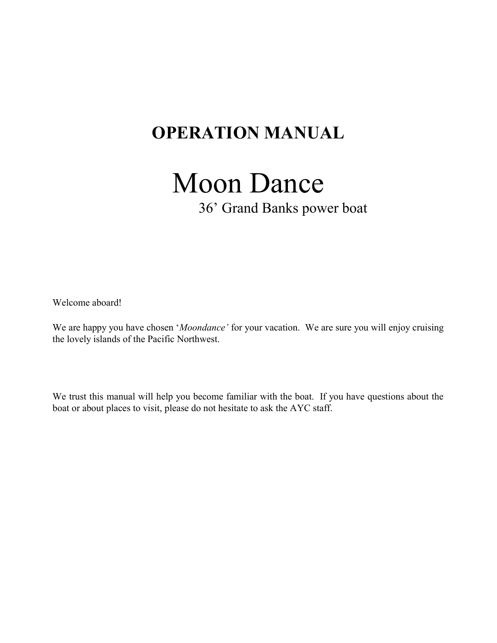## OPERATION MANUAL

# Moon Dance

36' Grand Banks power boat

Welcome aboard!

We are happy you have chosen 'Moondance' for your vacation. We are sure you will enjoy cruising the lovely islands of the Pacific Northwest.

We trust this manual will help you become familiar with the boat. If you have questions about the boat or about places to visit, please do not hesitate to ask the AYC staff.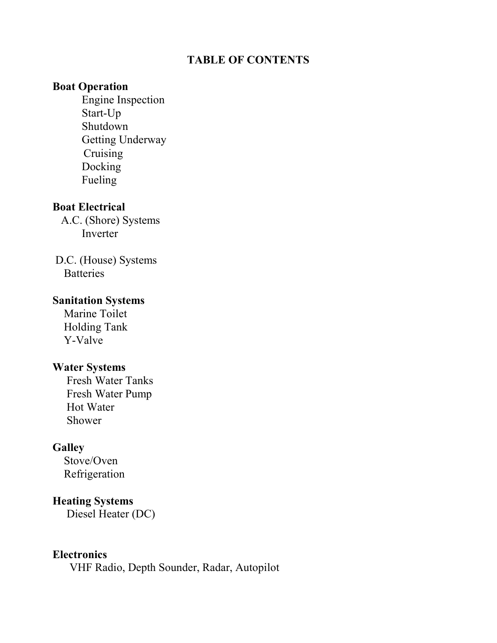## TABLE OF CONTENTS

## Boat Operation

 Engine Inspection Start-Up Shutdown Getting Underway Cruising Docking Fueling

## Boat Electrical

 A.C. (Shore) Systems Inverter

 D.C. (House) Systems **Batteries** 

## Sanitation Systems

 Marine Toilet Holding Tank Y-Valve

## Water Systems

 Fresh Water Tanks Fresh Water Pump Hot Water Shower

## **Galley**

 Stove/Oven Refrigeration

## Heating Systems

Diesel Heater (DC)

## **Electronics**

VHF Radio, Depth Sounder, Radar, Autopilot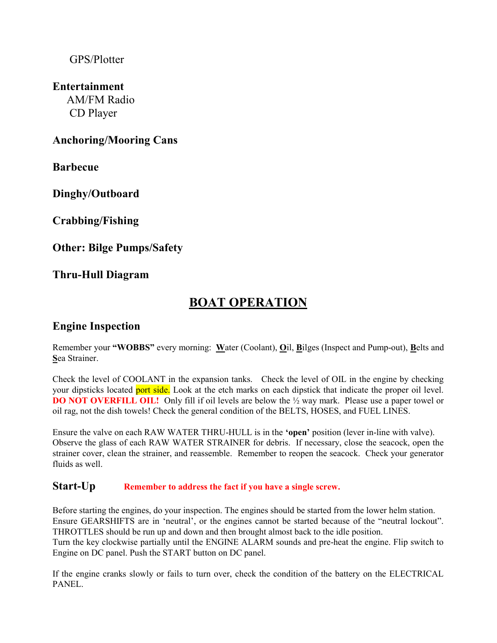## GPS/Plotter

## Entertainment

 AM/FM Radio CD Player

## Anchoring/Mooring Cans

Barbecue

Dinghy/Outboard

Crabbing/Fishing

Other: Bilge Pumps/Safety

Thru-Hull Diagram

## BOAT OPERATION

## Engine Inspection

Remember your "WOBBS" every morning: Water (Coolant), Oil, Bilges (Inspect and Pump-out), Belts and Sea Strainer.

Check the level of COOLANT in the expansion tanks. Check the level of OIL in the engine by checking your dipsticks located port side. Look at the etch marks on each dipstick that indicate the proper oil level. **DO NOT OVERFILL OIL!** Only fill if oil levels are below the  $\frac{1}{2}$  way mark. Please use a paper towel or oil rag, not the dish towels! Check the general condition of the BELTS, HOSES, and FUEL LINES.

Ensure the valve on each RAW WATER THRU-HULL is in the 'open' position (lever in-line with valve). Observe the glass of each RAW WATER STRAINER for debris. If necessary, close the seacock, open the strainer cover, clean the strainer, and reassemble. Remember to reopen the seacock. Check your generator fluids as well.

#### Start-Up Remember to address the fact if you have a single screw.

Before starting the engines, do your inspection. The engines should be started from the lower helm station. Ensure GEARSHIFTS are in 'neutral', or the engines cannot be started because of the "neutral lockout". THROTTLES should be run up and down and then brought almost back to the idle position. Turn the key clockwise partially until the ENGINE ALARM sounds and pre-heat the engine. Flip switch to Engine on DC panel. Push the START button on DC panel.

If the engine cranks slowly or fails to turn over, check the condition of the battery on the ELECTRICAL PANEL.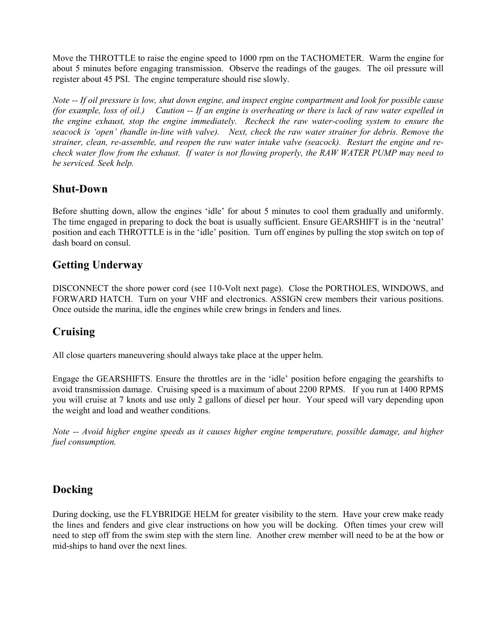Move the THROTTLE to raise the engine speed to 1000 rpm on the TACHOMETER. Warm the engine for about 5 minutes before engaging transmission. Observe the readings of the gauges. The oil pressure will register about 45 PSI. The engine temperature should rise slowly.

Note -- If oil pressure is low, shut down engine, and inspect engine compartment and look for possible cause (for example, loss of oil.) Caution -- If an engine is overheating or there is lack of raw water expelled in the engine exhaust, stop the engine immediately. Recheck the raw water-cooling system to ensure the seacock is 'open' (handle in-line with valve). Next, check the raw water strainer for debris. Remove the strainer, clean, re-assemble, and reopen the raw water intake valve (seacock). Restart the engine and recheck water flow from the exhaust. If water is not flowing properly, the RAW WATER PUMP may need to be serviced. Seek help.

## Shut-Down

Before shutting down, allow the engines 'idle' for about 5 minutes to cool them gradually and uniformly. The time engaged in preparing to dock the boat is usually sufficient. Ensure GEARSHIFT is in the 'neutral' position and each THROTTLE is in the 'idle' position. Turn off engines by pulling the stop switch on top of dash board on consul.

## Getting Underway

DISCONNECT the shore power cord (see 110-Volt next page). Close the PORTHOLES, WINDOWS, and FORWARD HATCH. Turn on your VHF and electronics. ASSIGN crew members their various positions. Once outside the marina, idle the engines while crew brings in fenders and lines.

## Cruising

All close quarters maneuvering should always take place at the upper helm.

Engage the GEARSHIFTS. Ensure the throttles are in the 'idle' position before engaging the gearshifts to avoid transmission damage. Cruising speed is a maximum of about 2200 RPMS. If you run at 1400 RPMS you will cruise at 7 knots and use only 2 gallons of diesel per hour. Your speed will vary depending upon the weight and load and weather conditions.

Note -- Avoid higher engine speeds as it causes higher engine temperature, possible damage, and higher fuel consumption.

## Docking

During docking, use the FLYBRIDGE HELM for greater visibility to the stern. Have your crew make ready the lines and fenders and give clear instructions on how you will be docking. Often times your crew will need to step off from the swim step with the stern line. Another crew member will need to be at the bow or mid-ships to hand over the next lines.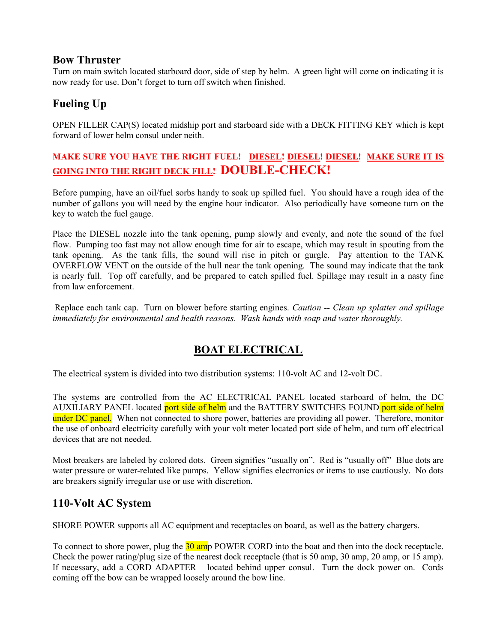## Bow Thruster

Turn on main switch located starboard door, side of step by helm. A green light will come on indicating it is now ready for use. Don't forget to turn off switch when finished.

## Fueling Up

OPEN FILLER CAP(S) located midship port and starboard side with a DECK FITTING KEY which is kept forward of lower helm consul under neith.

## MAKE SURE YOU HAVE THE RIGHT FUEL! DIESEL! DIESEL! DIESEL! MAKE SURE IT IS GOING INTO THE RIGHT DECK FILL! DOUBLE-CHECK!

Before pumping, have an oil/fuel sorbs handy to soak up spilled fuel. You should have a rough idea of the number of gallons you will need by the engine hour indicator. Also periodically have someone turn on the key to watch the fuel gauge.

Place the DIESEL nozzle into the tank opening, pump slowly and evenly, and note the sound of the fuel flow. Pumping too fast may not allow enough time for air to escape, which may result in spouting from the tank opening. As the tank fills, the sound will rise in pitch or gurgle. Pay attention to the TANK OVERFLOW VENT on the outside of the hull near the tank opening. The sound may indicate that the tank is nearly full. Top off carefully, and be prepared to catch spilled fuel. Spillage may result in a nasty fine from law enforcement.

Replace each tank cap. Turn on blower before starting engines. Caution -- Clean up splatter and spillage immediately for environmental and health reasons. Wash hands with soap and water thoroughly.

## BOAT ELECTRICAL

The electrical system is divided into two distribution systems: 110-volt AC and 12-volt DC.

The systems are controlled from the AC ELECTRICAL PANEL located starboard of helm, the DC AUXILIARY PANEL located port side of helm and the BATTERY SWITCHES FOUND port side of helm under DC panel. When not connected to shore power, batteries are providing all power. Therefore, monitor the use of onboard electricity carefully with your volt meter located port side of helm, and turn off electrical devices that are not needed.

Most breakers are labeled by colored dots. Green signifies "usually on". Red is "usually off" Blue dots are water pressure or water-related like pumps. Yellow signifies electronics or items to use cautiously. No dots are breakers signify irregular use or use with discretion.

## 110-Volt AC System

SHORE POWER supports all AC equipment and receptacles on board, as well as the battery chargers.

To connect to shore power, plug the 30 amp POWER CORD into the boat and then into the dock receptacle. Check the power rating/plug size of the nearest dock receptacle (that is 50 amp, 30 amp, 20 amp, or 15 amp). If necessary, add a CORD ADAPTER located behind upper consul. Turn the dock power on. Cords coming off the bow can be wrapped loosely around the bow line.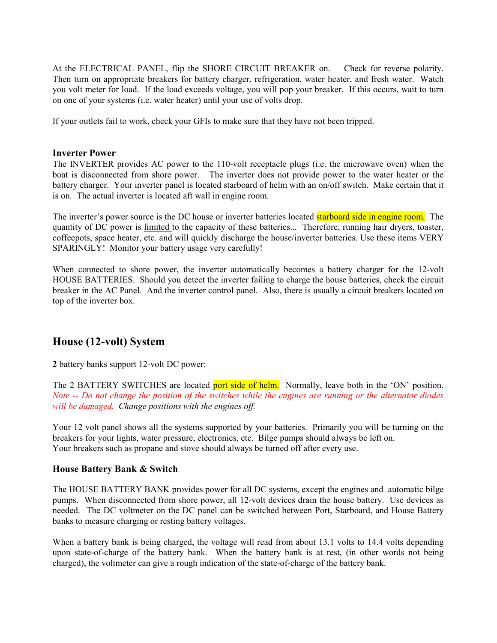At the ELECTRICAL PANEL, flip the SHORE CIRCUIT BREAKER on. Check for reverse polarity. Then turn on appropriate breakers for battery charger, refrigeration, water heater, and fresh water. Watch you volt meter for load. If the load exceeds voltage, you will pop your breaker. If this occurs, wait to turn on one of your systems (i.e. water heater) until your use of volts drop.

If your outlets fail to work, check your GFIs to make sure that they have not been tripped.

#### Inverter Power

The INVERTER provides AC power to the 110-volt receptacle plugs (i.e. the microwave oven) when the boat is disconnected from shore power. The inverter does not provide power to the water heater or the battery charger. Your inverter panel is located starboard of helm with an on/off switch. Make certain that it is on. The actual inverter is located aft wall in engine room.

The inverter's power source is the DC house or inverter batteries located **starboard side in engine room.** The quantity of DC power is limited to the capacity of these batteries... Therefore, running hair dryers, toaster, coffeepots, space heater, etc. and will quickly discharge the house/inverter batteries. Use these items VERY SPARINGLY! Monitor your battery usage very carefully!

When connected to shore power, the inverter automatically becomes a battery charger for the 12-volt HOUSE BATTERIES. Should you detect the inverter failing to charge the house batteries, check the circuit breaker in the AC Panel. And the inverter control panel. Also, there is usually a circuit breakers located on top of the inverter box.

## House (12-volt) System

2 battery banks support 12-volt DC power:

The 2 BATTERY SWITCHES are located port side of helm. Normally, leave both in the 'ON' position. Note -- Do not change the position of the switches while the engines are running or the alternator diodes will be damaged. Change positions with the engines off.

Your 12 volt panel shows all the systems supported by your batteries. Primarily you will be turning on the breakers for your lights, water pressure, electronics, etc. Bilge pumps should always be left on. Your breakers such as propane and stove should always be turned off after every use.

#### House Battery Bank & Switch

The HOUSE BATTERY BANK provides power for all DC systems, except the engines and automatic bilge pumps. When disconnected from shore power, all 12-volt devices drain the house battery. Use devices as needed. The DC voltmeter on the DC panel can be switched between Port, Starboard, and House Battery banks to measure charging or resting battery voltages.

When a battery bank is being charged, the voltage will read from about 13.1 volts to 14.4 volts depending upon state-of-charge of the battery bank. When the battery bank is at rest, (in other words not being charged), the voltmeter can give a rough indication of the state-of-charge of the battery bank.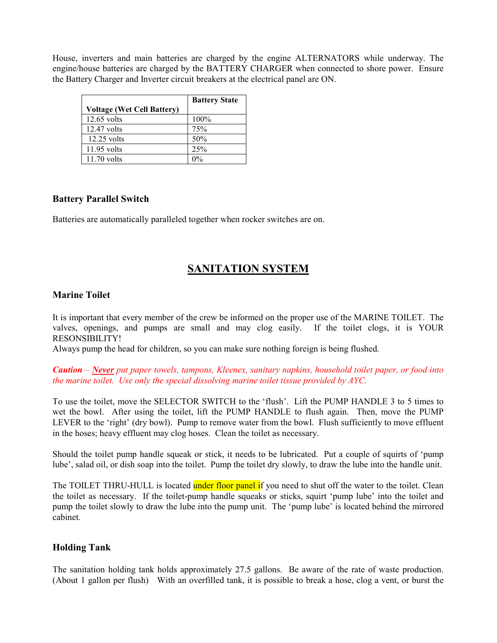House, inverters and main batteries are charged by the engine ALTERNATORS while underway. The engine/house batteries are charged by the BATTERY CHARGER when connected to shore power. Ensure the Battery Charger and Inverter circuit breakers at the electrical panel are ON.

|                            | <b>Battery State</b> |
|----------------------------|----------------------|
| Voltage (Wet Cell Battery) |                      |
| $12.65$ volts              | 100%                 |
| $12.47$ volts              | 75%                  |
| $12.25$ volts              | 50%                  |
| $11.95$ volts              | 25%                  |
| $11.70$ volts              |                      |

#### Battery Parallel Switch

Batteries are automatically paralleled together when rocker switches are on.

## SANITATION SYSTEM

#### Marine Toilet

It is important that every member of the crew be informed on the proper use of the MARINE TOILET. The valves, openings, and pumps are small and may clog easily. If the toilet clogs, it is YOUR RESONSIBILITY!

Always pump the head for children, so you can make sure nothing foreign is being flushed.

Caution – Never put paper towels, tampons, Kleenex, sanitary napkins, household toilet paper, or food into the marine toilet. Use only the special dissolving marine toilet tissue provided by AYC.

To use the toilet, move the SELECTOR SWITCH to the 'flush'. Lift the PUMP HANDLE 3 to 5 times to wet the bowl. After using the toilet, lift the PUMP HANDLE to flush again. Then, move the PUMP LEVER to the 'right' (dry bowl). Pump to remove water from the bowl. Flush sufficiently to move effluent in the hoses; heavy effluent may clog hoses. Clean the toilet as necessary.

Should the toilet pump handle squeak or stick, it needs to be lubricated. Put a couple of squirts of 'pump lube', salad oil, or dish soap into the toilet. Pump the toilet dry slowly, to draw the lube into the handle unit.

The TOILET THRU-HULL is located under floor panel if you need to shut off the water to the toilet. Clean the toilet as necessary. If the toilet-pump handle squeaks or sticks, squirt 'pump lube' into the toilet and pump the toilet slowly to draw the lube into the pump unit. The 'pump lube' is located behind the mirrored cabinet.

#### Holding Tank

The sanitation holding tank holds approximately 27.5 gallons. Be aware of the rate of waste production. (About 1 gallon per flush) With an overfilled tank, it is possible to break a hose, clog a vent, or burst the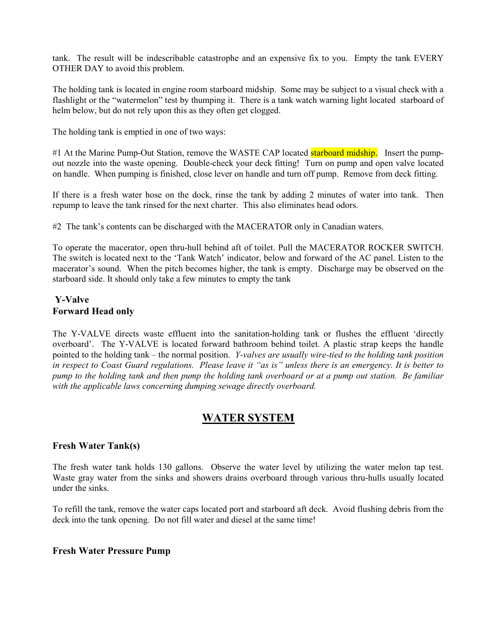tank. The result will be indescribable catastrophe and an expensive fix to you. Empty the tank EVERY OTHER DAY to avoid this problem.

The holding tank is located in engine room starboard midship. Some may be subject to a visual check with a flashlight or the "watermelon" test by thumping it. There is a tank watch warning light located starboard of helm below, but do not rely upon this as they often get clogged.

The holding tank is emptied in one of two ways:

#1 At the Marine Pump-Out Station, remove the WASTE CAP located **starboard midship.** Insert the pumpout nozzle into the waste opening. Double-check your deck fitting! Turn on pump and open valve located on handle. When pumping is finished, close lever on handle and turn off pump. Remove from deck fitting.

If there is a fresh water hose on the dock, rinse the tank by adding 2 minutes of water into tank. Then repump to leave the tank rinsed for the next charter. This also eliminates head odors.

#2 The tank's contents can be discharged with the MACERATOR only in Canadian waters.

To operate the macerator, open thru-hull behind aft of toilet. Pull the MACERATOR ROCKER SWITCH. The switch is located next to the 'Tank Watch' indicator, below and forward of the AC panel. Listen to the macerator's sound. When the pitch becomes higher, the tank is empty. Discharge may be observed on the starboard side. It should only take a few minutes to empty the tank

#### Y-Valve Forward Head only

The Y-VALVE directs waste effluent into the sanitation-holding tank or flushes the effluent 'directly overboard'. The Y-VALVE is located forward bathroom behind toilet. A plastic strap keeps the handle pointed to the holding tank – the normal position. Y-valves are usually wire-tied to the holding tank position in respect to Coast Guard regulations. Please leave it "as is" unless there is an emergency. It is better to pump to the holding tank and then pump the holding tank overboard or at a pump out station. Be familiar with the applicable laws concerning dumping sewage directly overboard.

## WATER SYSTEM

#### Fresh Water Tank(s)

The fresh water tank holds 130 gallons. Observe the water level by utilizing the water melon tap test. Waste gray water from the sinks and showers drains overboard through various thru-hulls usually located under the sinks.

To refill the tank, remove the water caps located port and starboard aft deck. Avoid flushing debris from the deck into the tank opening. Do not fill water and diesel at the same time!

#### Fresh Water Pressure Pump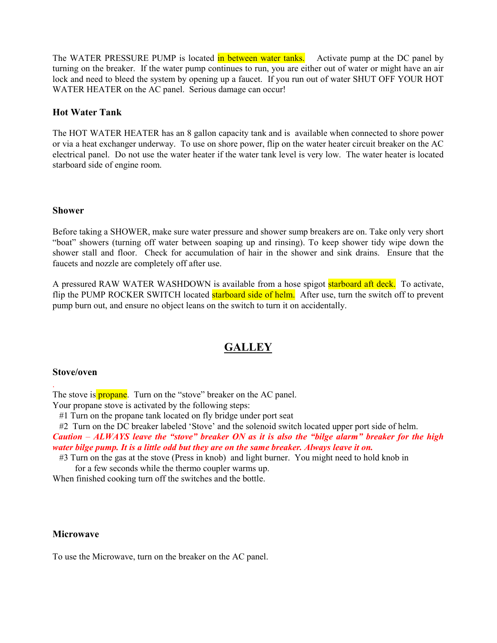The WATER PRESSURE PUMP is located in between water tanks. Activate pump at the DC panel by turning on the breaker. If the water pump continues to run, you are either out of water or might have an air lock and need to bleed the system by opening up a faucet. If you run out of water SHUT OFF YOUR HOT WATER HEATER on the AC panel. Serious damage can occur!

#### Hot Water Tank

The HOT WATER HEATER has an 8 gallon capacity tank and is available when connected to shore power or via a heat exchanger underway. To use on shore power, flip on the water heater circuit breaker on the AC electrical panel. Do not use the water heater if the water tank level is very low. The water heater is located starboard side of engine room.

#### Shower

Before taking a SHOWER, make sure water pressure and shower sump breakers are on. Take only very short "boat" showers (turning off water between soaping up and rinsing). To keep shower tidy wipe down the shower stall and floor. Check for accumulation of hair in the shower and sink drains. Ensure that the faucets and nozzle are completely off after use.

A pressured RAW WATER WASHDOWN is available from a hose spigot **starboard aft deck.** To activate, flip the PUMP ROCKER SWITCH located **starboard side of helm.** After use, turn the switch off to prevent pump burn out, and ensure no object leans on the switch to turn it on accidentally.

## **GALLEY**

#### Stove/oven

.

The stove is **propane**. Turn on the "stove" breaker on the AC panel.

Your propane stove is activated by the following steps:

#1 Turn on the propane tank located on fly bridge under port seat

#2 Turn on the DC breaker labeled 'Stove' and the solenoid switch located upper port side of helm.

Caution  $-ALWAYS$  leave the "stove" breaker ON as it is also the "bilge alarm" breaker for the high water bilge pump. It is a little odd but they are on the same breaker. Always leave it on.

 #3 Turn on the gas at the stove (Press in knob) and light burner. You might need to hold knob in for a few seconds while the thermo coupler warms up.

When finished cooking turn off the switches and the bottle.

#### **Microwave**

To use the Microwave, turn on the breaker on the AC panel.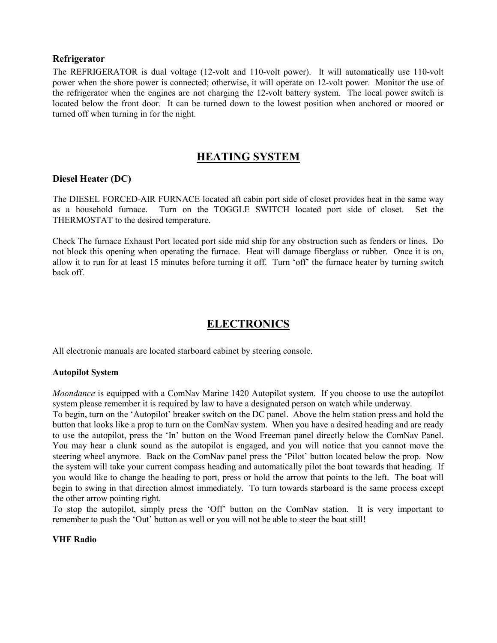#### Refrigerator

The REFRIGERATOR is dual voltage (12-volt and 110-volt power). It will automatically use 110-volt power when the shore power is connected; otherwise, it will operate on 12-volt power. Monitor the use of the refrigerator when the engines are not charging the 12-volt battery system. The local power switch is located below the front door. It can be turned down to the lowest position when anchored or moored or turned off when turning in for the night.

## HEATING SYSTEM

#### Diesel Heater (DC)

The DIESEL FORCED-AIR FURNACE located aft cabin port side of closet provides heat in the same way as a household furnace. Turn on the TOGGLE SWITCH located port side of closet. Set the THERMOSTAT to the desired temperature.

Check The furnace Exhaust Port located port side mid ship for any obstruction such as fenders or lines. Do not block this opening when operating the furnace. Heat will damage fiberglass or rubber. Once it is on, allow it to run for at least 15 minutes before turning it off. Turn 'off' the furnace heater by turning switch back off.

## ELECTRONICS

All electronic manuals are located starboard cabinet by steering console.

#### Autopilot System

Moondance is equipped with a ComNav Marine 1420 Autopilot system. If you choose to use the autopilot system please remember it is required by law to have a designated person on watch while underway.

To begin, turn on the 'Autopilot' breaker switch on the DC panel. Above the helm station press and hold the button that looks like a prop to turn on the ComNav system. When you have a desired heading and are ready to use the autopilot, press the 'In' button on the Wood Freeman panel directly below the ComNav Panel. You may hear a clunk sound as the autopilot is engaged, and you will notice that you cannot move the steering wheel anymore. Back on the ComNav panel press the 'Pilot' button located below the prop. Now the system will take your current compass heading and automatically pilot the boat towards that heading. If you would like to change the heading to port, press or hold the arrow that points to the left. The boat will begin to swing in that direction almost immediately. To turn towards starboard is the same process except the other arrow pointing right.

To stop the autopilot, simply press the 'Off' button on the ComNav station. It is very important to remember to push the 'Out' button as well or you will not be able to steer the boat still!

#### VHF Radio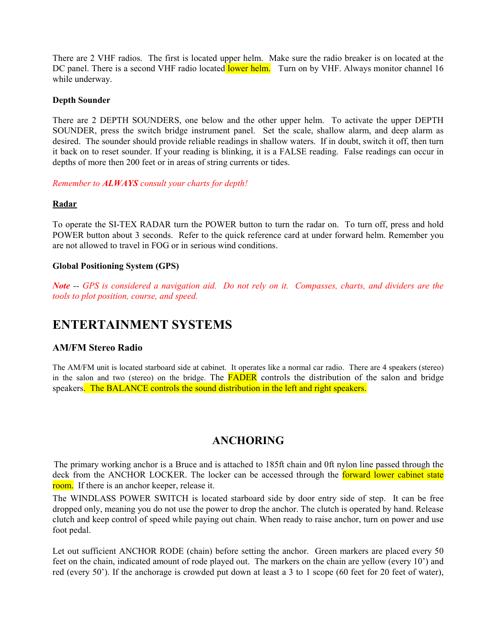There are 2 VHF radios. The first is located upper helm. Make sure the radio breaker is on located at the DC panel. There is a second VHF radio located lower helm. Turn on by VHF. Always monitor channel 16 while underway.

#### Depth Sounder

There are 2 DEPTH SOUNDERS, one below and the other upper helm. To activate the upper DEPTH SOUNDER, press the switch bridge instrument panel. Set the scale, shallow alarm, and deep alarm as desired. The sounder should provide reliable readings in shallow waters. If in doubt, switch it off, then turn it back on to reset sounder. If your reading is blinking, it is a FALSE reading. False readings can occur in depths of more then 200 feet or in areas of string currents or tides.

Remember to ALWAYS consult your charts for depth!

#### Radar

To operate the SI-TEX RADAR turn the POWER button to turn the radar on. To turn off, press and hold POWER button about 3 seconds. Refer to the quick reference card at under forward helm. Remember you are not allowed to travel in FOG or in serious wind conditions.

#### Global Positioning System (GPS)

Note -- GPS is considered a navigation aid. Do not rely on it. Compasses, charts, and dividers are the tools to plot position, course, and speed.

## ENTERTAINMENT SYSTEMS

#### AM/FM Stereo Radio

The AM/FM unit is located starboard side at cabinet. It operates like a normal car radio. There are 4 speakers (stereo) in the salon and two (stereo) on the bridge. The **FADER** controls the distribution of the salon and bridge speakers. The BALANCE controls the sound distribution in the left and right speakers.

## ANCHORING

 The primary working anchor is a Bruce and is attached to 185ft chain and 0ft nylon line passed through the deck from the ANCHOR LOCKER. The locker can be accessed through the forward lower cabinet state room. If there is an anchor keeper, release it.

The WINDLASS POWER SWITCH is located starboard side by door entry side of step. It can be free dropped only, meaning you do not use the power to drop the anchor. The clutch is operated by hand. Release clutch and keep control of speed while paying out chain. When ready to raise anchor, turn on power and use foot pedal.

Let out sufficient ANCHOR RODE (chain) before setting the anchor. Green markers are placed every 50 feet on the chain, indicated amount of rode played out. The markers on the chain are yellow (every 10') and red (every 50'). If the anchorage is crowded put down at least a 3 to 1 scope (60 feet for 20 feet of water),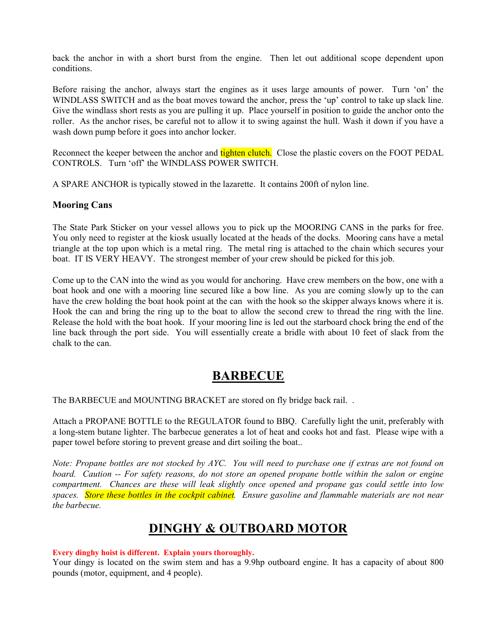back the anchor in with a short burst from the engine. Then let out additional scope dependent upon conditions.

Before raising the anchor, always start the engines as it uses large amounts of power. Turn 'on' the WINDLASS SWITCH and as the boat moves toward the anchor, press the 'up' control to take up slack line. Give the windlass short rests as you are pulling it up. Place yourself in position to guide the anchor onto the roller. As the anchor rises, be careful not to allow it to swing against the hull. Wash it down if you have a wash down pump before it goes into anchor locker.

Reconnect the keeper between the anchor and tighten clutch. Close the plastic covers on the FOOT PEDAL CONTROLS. Turn 'off' the WINDLASS POWER SWITCH.

A SPARE ANCHOR is typically stowed in the lazarette. It contains 200ft of nylon line.

#### Mooring Cans

The State Park Sticker on your vessel allows you to pick up the MOORING CANS in the parks for free. You only need to register at the kiosk usually located at the heads of the docks. Mooring cans have a metal triangle at the top upon which is a metal ring. The metal ring is attached to the chain which secures your boat. IT IS VERY HEAVY. The strongest member of your crew should be picked for this job.

Come up to the CAN into the wind as you would for anchoring. Have crew members on the bow, one with a boat hook and one with a mooring line secured like a bow line. As you are coming slowly up to the can have the crew holding the boat hook point at the can with the hook so the skipper always knows where it is. Hook the can and bring the ring up to the boat to allow the second crew to thread the ring with the line. Release the hold with the boat hook. If your mooring line is led out the starboard chock bring the end of the line back through the port side. You will essentially create a bridle with about 10 feet of slack from the chalk to the can.

## BARBECUE

The BARBECUE and MOUNTING BRACKET are stored on fly bridge back rail. .

Attach a PROPANE BOTTLE to the REGULATOR found to BBQ. Carefully light the unit, preferably with a long-stem butane lighter. The barbecue generates a lot of heat and cooks hot and fast. Please wipe with a paper towel before storing to prevent grease and dirt soiling the boat..

Note: Propane bottles are not stocked by AYC. You will need to purchase one if extras are not found on board. Caution -- For safety reasons, do not store an opened propane bottle within the salon or engine compartment. Chances are these will leak slightly once opened and propane gas could settle into low spaces. Store these bottles in the cockpit cabinet. Ensure gasoline and flammable materials are not near the barbecue.

## DINGHY & OUTBOARD MOTOR

#### Every dinghy hoist is different. Explain yours thoroughly.

Your dingy is located on the swim stem and has a 9.9hp outboard engine. It has a capacity of about 800 pounds (motor, equipment, and 4 people).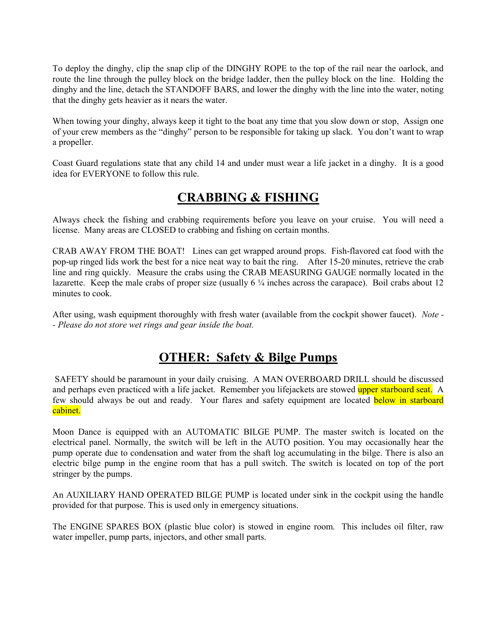To deploy the dinghy, clip the snap clip of the DINGHY ROPE to the top of the rail near the oarlock, and route the line through the pulley block on the bridge ladder, then the pulley block on the line. Holding the dinghy and the line, detach the STANDOFF BARS, and lower the dinghy with the line into the water, noting that the dinghy gets heavier as it nears the water.

When towing your dinghy, always keep it tight to the boat any time that you slow down or stop, Assign one of your crew members as the "dinghy" person to be responsible for taking up slack. You don't want to wrap a propeller.

Coast Guard regulations state that any child 14 and under must wear a life jacket in a dinghy. It is a good idea for EVERYONE to follow this rule.

## CRABBING & FISHING

Always check the fishing and crabbing requirements before you leave on your cruise. You will need a license. Many areas are CLOSED to crabbing and fishing on certain months.

CRAB AWAY FROM THE BOAT! Lines can get wrapped around props. Fish-flavored cat food with the pop-up ringed lids work the best for a nice neat way to bait the ring. After 15-20 minutes, retrieve the crab line and ring quickly. Measure the crabs using the CRAB MEASURING GAUGE normally located in the lazarette. Keep the male crabs of proper size (usually  $6\frac{1}{4}$  inches across the carapace). Boil crabs about 12 minutes to cook.

After using, wash equipment thoroughly with fresh water (available from the cockpit shower faucet). Note -- Please do not store wet rings and gear inside the boat.

## OTHER: Safety & Bilge Pumps

 SAFETY should be paramount in your daily cruising. A MAN OVERBOARD DRILL should be discussed and perhaps even practiced with a life jacket. Remember you lifejackets are stowed **upper starboard seat.** A few should always be out and ready. Your flares and safety equipment are located below in starboard cabinet.

Moon Dance is equipped with an AUTOMATIC BILGE PUMP. The master switch is located on the electrical panel. Normally, the switch will be left in the AUTO position. You may occasionally hear the pump operate due to condensation and water from the shaft log accumulating in the bilge. There is also an electric bilge pump in the engine room that has a pull switch. The switch is located on top of the port stringer by the pumps.

An AUXILIARY HAND OPERATED BILGE PUMP is located under sink in the cockpit using the handle provided for that purpose. This is used only in emergency situations.

The ENGINE SPARES BOX (plastic blue color) is stowed in engine room. This includes oil filter, raw water impeller, pump parts, injectors, and other small parts.